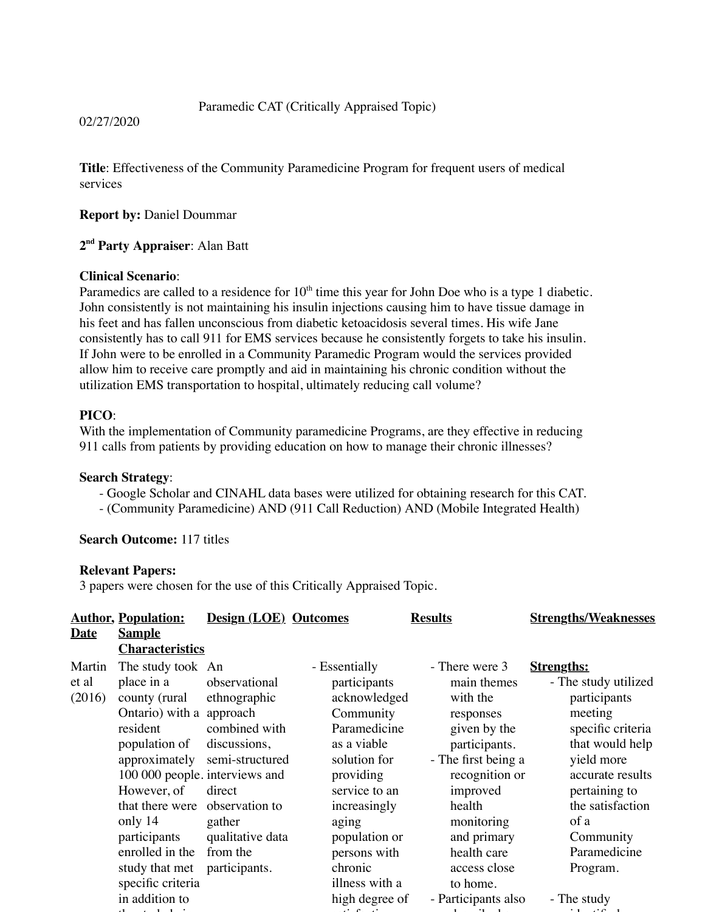## Paramedic CAT (Critically Appraised Topic)

02/27/2020

**Title**: Effectiveness of the Community Paramedicine Program for frequent users of medical services

## **Report by:** Daniel Doummar

## **2nd Party Appraiser**: Alan Batt

## **Clinical Scenario**:

Paramedics are called to a residence for  $10<sup>th</sup>$  time this year for John Doe who is a type 1 diabetic. John consistently is not maintaining his insulin injections causing him to have tissue damage in his feet and has fallen unconscious from diabetic ketoacidosis several times. His wife Jane consistently has to call 911 for EMS services because he consistently forgets to take his insulin. If John were to be enrolled in a Community Paramedic Program would the services provided allow him to receive care promptly and aid in maintaining his chronic condition without the utilization EMS transportation to hospital, ultimately reducing call volume?

## **PICO**:

With the implementation of Community paramedicine Programs, are they effective in reducing 911 calls from patients by providing education on how to manage their chronic illnesses?

## **Search Strategy**:

- Google Scholar and CINAHL data bases were utilized for obtaining research for this CAT.

- (Community Paramedicine) AND (911 Call Reduction) AND (Mobile Integrated Health)

# **Search Outcome:** 117 titles

## **Relevant Papers:**

3 papers were chosen for the use of this Critically Appraised Topic.

|             | <b>Author, Population:</b>     | <b>Design (LOE)</b> Outcomes |                | <b>Results</b>      | <b>Strengths/Weaknesses</b> |
|-------------|--------------------------------|------------------------------|----------------|---------------------|-----------------------------|
| <b>Date</b> | <b>Sample</b>                  |                              |                |                     |                             |
|             | <b>Characteristics</b>         |                              |                |                     |                             |
| Martin      | The study took An              |                              | - Essentially  | - There were 3      | <b>Strengths:</b>           |
| et al       | place in a                     | observational                | participants   | main themes         | - The study utilized        |
| (2016)      | county (rural                  | ethnographic                 | acknowledged   | with the            | participants                |
|             | Ontario) with a approach       |                              | Community      | responses           | meeting                     |
|             | resident                       | combined with                | Paramedicine   | given by the        | specific criteria           |
|             | population of                  | discussions,                 | as a viable    | participants.       | that would help             |
|             | approximately                  | semi-structured              | solution for   | - The first being a | yield more                  |
|             | 100 000 people. interviews and |                              | providing      | recognition or      | accurate results            |
|             | However, of                    | direct                       | service to an  | improved            | pertaining to               |
|             | that there were                | observation to               | increasingly   | health              | the satisfaction            |
|             | only 14                        | gather                       | aging          | monitoring          | of a                        |
|             | participants                   | qualitative data             | population or  | and primary         | Community                   |
|             | enrolled in the                | from the                     | persons with   | health care         | Paramedicine                |
|             | study that met                 | participants.                | chronic        | access close        | Program.                    |
|             | specific criteria              |                              | illness with a | to home.            |                             |
|             | in addition to                 |                              | high degree of | - Participants also | - The study                 |
|             |                                |                              |                |                     |                             |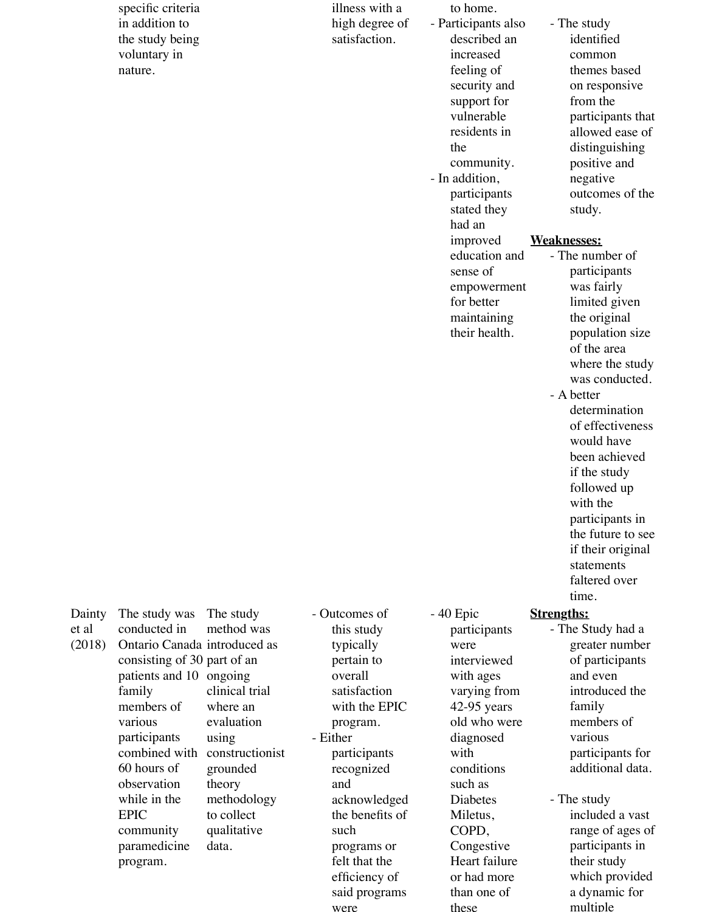specific criteria in addition to the study being voluntary in nature.

illness wit high degre satisfactio

| th a  | to home.            |                    |
|-------|---------------------|--------------------|
| ee of | - Participants also | - The study        |
| n.    | described an        | identified         |
|       | increased           | common             |
|       | feeling of          | themes based       |
|       | security and        | on responsive      |
|       | support for         | from the           |
|       | vulnerable          | participants that  |
|       | residents in        | allowed ease of    |
|       |                     |                    |
|       | the                 | distinguishing     |
|       | community.          | positive and       |
|       | - In addition,      | negative           |
|       | participants        | outcomes of the    |
|       | stated they         | study.             |
|       | had an              |                    |
|       | improved            | <b>Weaknesses:</b> |
|       | education and       | - The number of    |
|       | sense of            | participants       |
|       | empowerment         | was fairly         |
|       | for better          | limited given      |
|       | maintaining         | the original       |
|       | their health.       | population size    |
|       |                     | of the area        |
|       |                     | where the study    |
|       |                     | was conducted.     |
|       |                     | - A better         |
|       |                     |                    |
|       |                     | determination      |
|       |                     | of effectiveness   |
|       |                     | would have         |
|       |                     | been achieved      |
|       |                     | if the study       |
|       |                     | followed up        |
|       |                     | with the           |
|       |                     | participants in    |
|       |                     | the future to see  |
|       |                     | if their original  |
|       |                     | statements         |
|       |                     | faltered over      |
|       |                     | time.              |
| f     | - 40 Epic           | <b>Strengths:</b>  |
|       | participants        | - The Study had a  |
|       | were                | greater number     |
|       | interviewed         | of participants    |
|       |                     | and even           |
|       | with ages           | introduced the     |
| m     | varying from        |                    |
| PIC   | $42-95$ years       | family             |
|       | old who were        | members of         |
|       | diagnosed           | various            |
| ts    | with                | participants for   |
| d     | conditions          | additional data.   |
|       | such as             |                    |
| dged  | <b>Diabetes</b>     | - The study        |
| ts of | Miletus,            | included a vast    |
|       | COPD,               | range of ages of   |
| or    | Congestive          | participants in    |
| ıe    | Heart failure       | their study        |
| of    | or had more         | which provided     |

Dainty et al (2018) The study was conducted in Ontario Canada introduced as consisting of 30 part of an patients and 10 ongoing family members of various participants combined with constructionist 60 hours of observation while in the EPIC community paramedicine program. The study method was using theory data.

clinical trial where an evaluation grounded methodology to collect qualitative

- Outcomes of this study typically pertain to overall satisfactio with the E program. - Either participant recognized and acknowled the benefit such programs felt that th efficiency of said programs were

or had more than one of these

a dynamic for multiple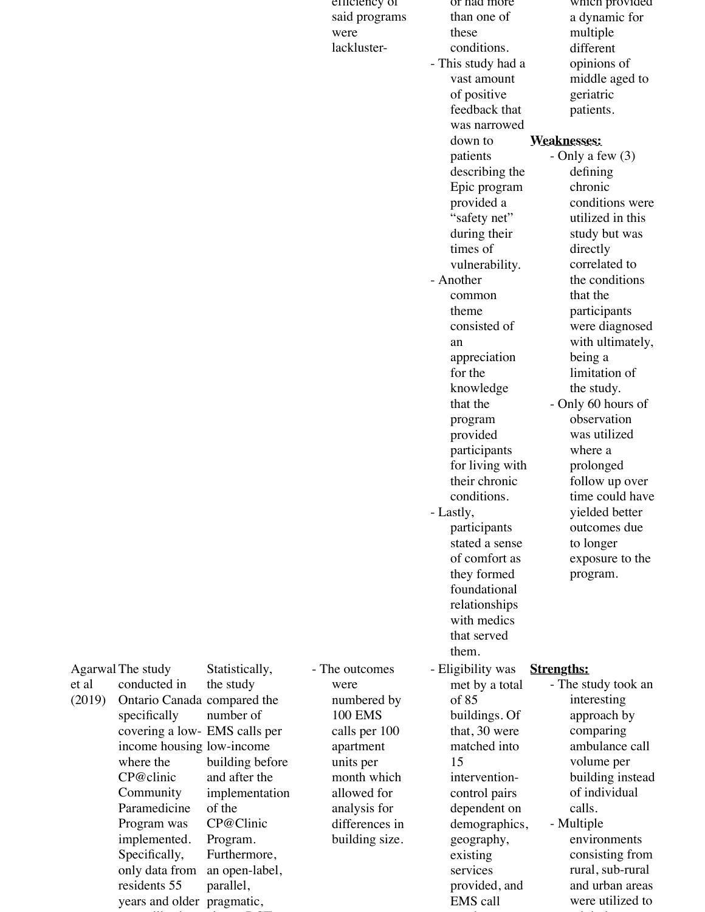|        |                               |                          | emciency of                    | or nad more        | which provided      |
|--------|-------------------------------|--------------------------|--------------------------------|--------------------|---------------------|
|        |                               |                          | said programs                  | than one of        | a dynamic for       |
|        |                               |                          | were                           | these              | multiple            |
|        |                               |                          | lackluster-                    | conditions.        | different           |
|        |                               |                          |                                | - This study had a | opinions of         |
|        |                               |                          |                                | vast amount        | middle aged to      |
|        |                               |                          |                                | of positive        | geriatric           |
|        |                               |                          |                                | feedback that      | patients.           |
|        |                               |                          |                                | was narrowed       |                     |
|        |                               |                          |                                | down to            | <b>Weaknesses:</b>  |
|        |                               |                          |                                | patients           | - Only a few $(3)$  |
|        |                               |                          |                                | describing the     | defining            |
|        |                               |                          |                                | Epic program       | chronic             |
|        |                               |                          |                                | provided a         | conditions were     |
|        |                               |                          |                                | "safety net"       | utilized in this    |
|        |                               |                          |                                |                    |                     |
|        |                               |                          |                                | during their       | study but was       |
|        |                               |                          |                                | times of           | directly            |
|        |                               |                          |                                | vulnerability.     | correlated to       |
|        |                               |                          |                                | - Another          | the conditions      |
|        |                               |                          |                                | common             | that the            |
|        |                               |                          |                                | theme              | participants        |
|        |                               |                          |                                | consisted of       | were diagnosed      |
|        |                               |                          |                                | an                 | with ultimately,    |
|        |                               |                          |                                | appreciation       | being a             |
|        |                               |                          |                                | for the            | limitation of       |
|        |                               |                          |                                | knowledge          | the study.          |
|        |                               |                          |                                | that the           | - Only 60 hours of  |
|        |                               |                          |                                | program            | observation         |
|        |                               |                          |                                | provided           | was utilized        |
|        |                               |                          |                                | participants       | where a             |
|        |                               |                          |                                | for living with    | prolonged           |
|        |                               |                          |                                | their chronic      | follow up over      |
|        |                               |                          |                                | conditions.        | time could have     |
|        |                               |                          |                                | Lastly,            | yielded better      |
|        |                               |                          |                                | participants       | outcomes due        |
|        |                               |                          |                                | stated a sense     | to longer           |
|        |                               |                          |                                | of comfort as      | exposure to the     |
|        |                               |                          |                                | they formed        | program.            |
|        |                               |                          |                                | foundational       |                     |
|        |                               |                          |                                | relationships      |                     |
|        |                               |                          |                                | with medics        |                     |
|        |                               |                          |                                | that served        |                     |
|        |                               |                          |                                | them.              |                     |
|        | Agarwal The study             | Statistically,           | - The outcomes                 | - Eligibility was  | <b>Strengths:</b>   |
| et al  | conducted in                  | the study                | were                           | met by a total     | - The study took an |
| (2019) | Ontario Canada compared the   |                          | numbered by                    | of 85              | interesting         |
|        | specifically                  | number of                | <b>100 EMS</b>                 | buildings. Of      | approach by         |
|        | covering a low- EMS calls per |                          | calls per 100                  | that, 30 were      | comparing           |
|        | income housing low-income     |                          | apartment                      | matched into       | ambulance call      |
|        | where the                     | building before          | units per                      | 15                 | volume per          |
|        | CP@clinic                     | and after the            | month which                    | intervention-      | building instead    |
|        | Community                     |                          | allowed for                    |                    | of individual       |
|        | Paramedicine                  | implementation<br>of the |                                | control pairs      | calls.              |
|        |                               | CP@Clinic                | analysis for<br>differences in | dependent on       |                     |
|        | Program was                   |                          |                                | demographics,      | - Multiple          |
|        | implemented.                  | Program.                 | building size.                 | geography,         | environments        |
|        | Specifically,                 | Furthermore,             |                                | existing           | consisting from     |
|        | only data from                | an open-label,           |                                | services           | rural, sub-rural    |
|        | residents 55                  | parallel,                |                                | provided, and      | and urban areas     |
|        | years and older pragmatic,    |                          |                                | EMS call           | were utilized to    |

numbers. The control of the control of the control of the control of the control of the control of the control of

minimize

was utilized and the second control of the second control of the second control of the second control of the s

cluster and cluster-RCT clusters-RCT clusters-RCT clusters-RCT clusters-RCT clusters-RCT clusters-RCT clusters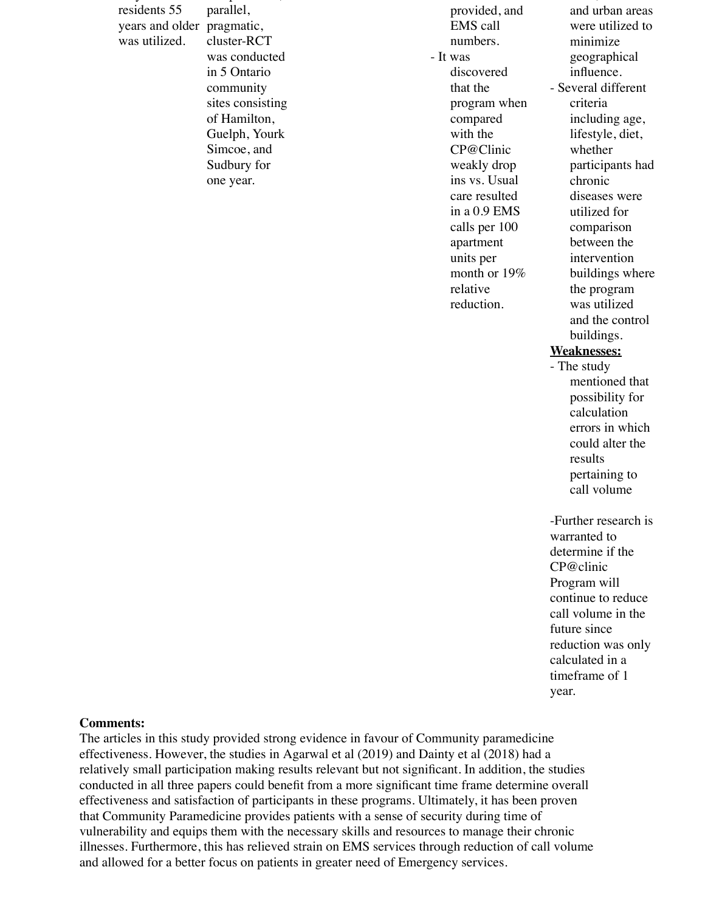only data from residents 55 years and older pragmatic, was utilized.

parallel, cluster-RCT was conducted in 5 Ontario community sites consisting of Hamilton, Guelph, Yourk Simcoe, and Sudbury for one year.

an open-label,

provided, and EMS call numbers. - It was discovered that the program when compared with the CP@Clinic weakly drop ins vs. Usual care resulted in a 0.9 EMS calls per 100 apartment units per month or 19% relative reduction.

and urban areas were utilized to minimize geographical influence. - Several different criteria including age, lifestyle, diet, whether participants had chronic diseases were utilized for comparison between the intervention buildings where the program was utilized and the control buildings.

rural, sub-rural

### **Weaknesses:**

- The study mentioned that possibility for calculation errors in which could alter the results pertaining to call volume

-Further research is warranted to determine if the CP@clinic Program will continue to reduce call volume in the future since reduction was only calculated in a timeframe of 1 year.

#### **Comments:**

The articles in this study provided strong evidence in favour of Community paramedicine effectiveness. However, the studies in Agarwal et al (2019) and Dainty et al (2018) had a relatively small participation making results relevant but not significant. In addition, the studies conducted in all three papers could benefit from a more significant time frame determine overall effectiveness and satisfaction of participants in these programs. Ultimately, it has been proven that Community Paramedicine provides patients with a sense of security during time of vulnerability and equips them with the necessary skills and resources to manage their chronic illnesses. Furthermore, this has relieved strain on EMS services through reduction of call volume and allowed for a better focus on patients in greater need of Emergency services.